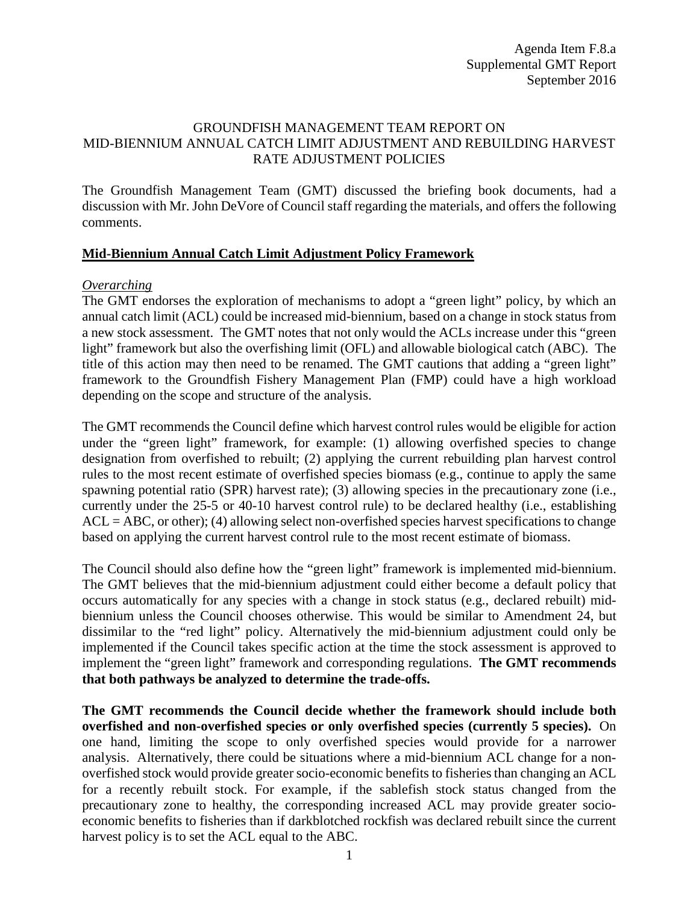# GROUNDFISH MANAGEMENT TEAM REPORT ON MID-BIENNIUM ANNUAL CATCH LIMIT ADJUSTMENT AND REBUILDING HARVEST RATE ADJUSTMENT POLICIES

The Groundfish Management Team (GMT) discussed the briefing book documents, had a discussion with Mr. John DeVore of Council staff regarding the materials, and offers the following comments.

### **Mid-Biennium Annual Catch Limit Adjustment Policy Framework**

### *Overarching*

The GMT endorses the exploration of mechanisms to adopt a "green light" policy, by which an annual catch limit (ACL) could be increased mid-biennium, based on a change in stock status from a new stock assessment. The GMT notes that not only would the ACLs increase under this "green light" framework but also the overfishing limit (OFL) and allowable biological catch (ABC). The title of this action may then need to be renamed. The GMT cautions that adding a "green light" framework to the Groundfish Fishery Management Plan (FMP) could have a high workload depending on the scope and structure of the analysis.

The GMT recommends the Council define which harvest control rules would be eligible for action under the "green light" framework, for example: (1) allowing overfished species to change designation from overfished to rebuilt; (2) applying the current rebuilding plan harvest control rules to the most recent estimate of overfished species biomass (e.g., continue to apply the same spawning potential ratio (SPR) harvest rate); (3) allowing species in the precautionary zone (i.e., currently under the 25-5 or 40-10 harvest control rule) to be declared healthy (i.e., establishing  $ACL = ABC$ , or other); (4) allowing select non-overfished species harvest specifications to change based on applying the current harvest control rule to the most recent estimate of biomass.

The Council should also define how the "green light" framework is implemented mid-biennium. The GMT believes that the mid-biennium adjustment could either become a default policy that occurs automatically for any species with a change in stock status (e.g., declared rebuilt) midbiennium unless the Council chooses otherwise. This would be similar to Amendment 24, but dissimilar to the "red light" policy. Alternatively the mid-biennium adjustment could only be implemented if the Council takes specific action at the time the stock assessment is approved to implement the "green light" framework and corresponding regulations. **The GMT recommends that both pathways be analyzed to determine the trade-offs.** 

**The GMT recommends the Council decide whether the framework should include both overfished and non-overfished species or only overfished species (currently 5 species).** On one hand, limiting the scope to only overfished species would provide for a narrower analysis. Alternatively, there could be situations where a mid-biennium ACL change for a nonoverfished stock would provide greater socio-economic benefits to fisheriesthan changing an ACL for a recently rebuilt stock. For example, if the sablefish stock status changed from the precautionary zone to healthy, the corresponding increased ACL may provide greater socioeconomic benefits to fisheries than if darkblotched rockfish was declared rebuilt since the current harvest policy is to set the ACL equal to the ABC.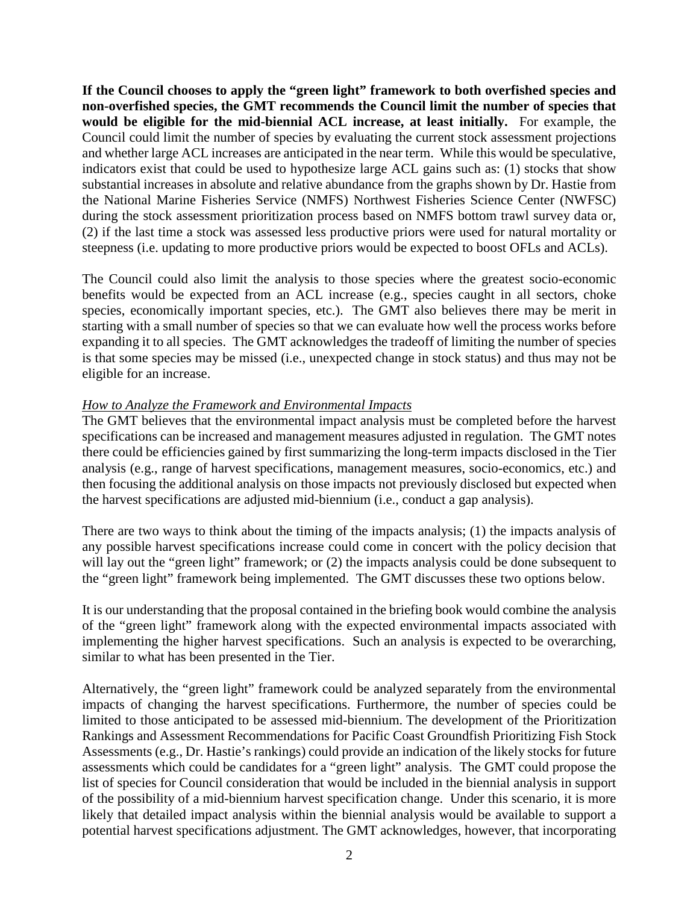**If the Council chooses to apply the "green light" framework to both overfished species and non-overfished species, the GMT recommends the Council limit the number of species that would be eligible for the mid-biennial ACL increase, at least initially.** For example, the Council could limit the number of species by evaluating the current stock assessment projections and whether large ACL increases are anticipated in the near term. While this would be speculative, indicators exist that could be used to hypothesize large ACL gains such as: (1) stocks that show substantial increases in absolute and relative abundance from the graphs shown by Dr. Hastie from the National Marine Fisheries Service (NMFS) Northwest Fisheries Science Center (NWFSC) during the stock assessment prioritization process based on NMFS bottom trawl survey data or, (2) if the last time a stock was assessed less productive priors were used for natural mortality or steepness (i.e. updating to more productive priors would be expected to boost OFLs and ACLs).

The Council could also limit the analysis to those species where the greatest socio-economic benefits would be expected from an ACL increase (e.g., species caught in all sectors, choke species, economically important species, etc.). The GMT also believes there may be merit in starting with a small number of species so that we can evaluate how well the process works before expanding it to all species. The GMT acknowledges the tradeoff of limiting the number of species is that some species may be missed (i.e., unexpected change in stock status) and thus may not be eligible for an increase.

# *How to Analyze the Framework and Environmental Impacts*

The GMT believes that the environmental impact analysis must be completed before the harvest specifications can be increased and management measures adjusted in regulation. The GMT notes there could be efficiencies gained by first summarizing the long-term impacts disclosed in the Tier analysis (e.g., range of harvest specifications, management measures, socio-economics, etc.) and then focusing the additional analysis on those impacts not previously disclosed but expected when the harvest specifications are adjusted mid-biennium (i.e., conduct a gap analysis).

There are two ways to think about the timing of the impacts analysis; (1) the impacts analysis of any possible harvest specifications increase could come in concert with the policy decision that will lay out the "green light" framework; or (2) the impacts analysis could be done subsequent to the "green light" framework being implemented. The GMT discusses these two options below.

It is our understanding that the proposal contained in the briefing book would combine the analysis of the "green light" framework along with the expected environmental impacts associated with implementing the higher harvest specifications. Such an analysis is expected to be overarching, similar to what has been presented in the Tier.

Alternatively, the "green light" framework could be analyzed separately from the environmental impacts of changing the harvest specifications. Furthermore, the number of species could be limited to those anticipated to be assessed mid-biennium. The development of the Prioritization Rankings and Assessment Recommendations for Pacific Coast Groundfish Prioritizing Fish Stock Assessments (e.g., Dr. Hastie's rankings) could provide an indication of the likely stocks for future assessments which could be candidates for a "green light" analysis. The GMT could propose the list of species for Council consideration that would be included in the biennial analysis in support of the possibility of a mid-biennium harvest specification change. Under this scenario, it is more likely that detailed impact analysis within the biennial analysis would be available to support a potential harvest specifications adjustment. The GMT acknowledges, however, that incorporating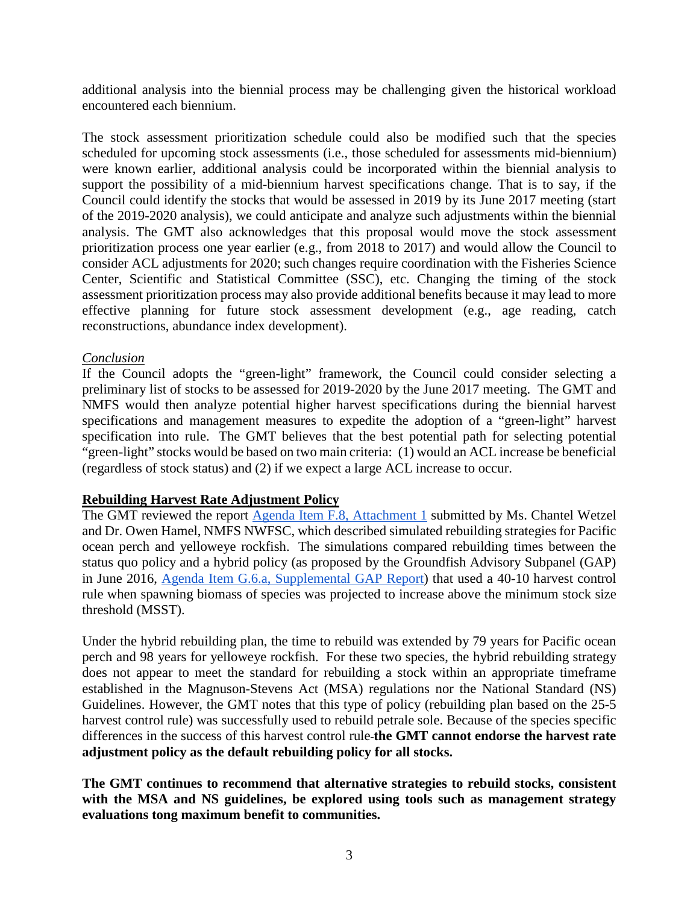additional analysis into the biennial process may be challenging given the historical workload encountered each biennium.

The stock assessment prioritization schedule could also be modified such that the species scheduled for upcoming stock assessments (i.e., those scheduled for assessments mid-biennium) were known earlier, additional analysis could be incorporated within the biennial analysis to support the possibility of a mid-biennium harvest specifications change. That is to say, if the Council could identify the stocks that would be assessed in 2019 by its June 2017 meeting (start of the 2019-2020 analysis), we could anticipate and analyze such adjustments within the biennial analysis. The GMT also acknowledges that this proposal would move the stock assessment prioritization process one year earlier (e.g., from 2018 to 2017) and would allow the Council to consider ACL adjustments for 2020; such changes require coordination with the Fisheries Science Center, Scientific and Statistical Committee (SSC), etc. Changing the timing of the stock assessment prioritization process may also provide additional benefits because it may lead to more effective planning for future stock assessment development (e.g., age reading, catch reconstructions, abundance index development).

# *Conclusion*

If the Council adopts the "green-light" framework, the Council could consider selecting a preliminary list of stocks to be assessed for 2019-2020 by the June 2017 meeting. The GMT and NMFS would then analyze potential higher harvest specifications during the biennial harvest specifications and management measures to expedite the adoption of a "green-light" harvest specification into rule. The GMT believes that the best potential path for selecting potential "green-light" stocks would be based on two main criteria: (1) would an ACL increase be beneficial (regardless of stock status) and (2) if we expect a large ACL increase to occur.

### **Rebuilding Harvest Rate Adjustment Policy**

The GMT reviewed the report [Agenda Item F.8, Attachment 1](http://www.pcouncil.org/wp-content/uploads/2016/08/F8_Att1_4010RebuildingRuleAlt_final_SEPT2016BB.pdf) submitted by Ms. Chantel Wetzel and Dr. Owen Hamel, NMFS NWFSC, which described simulated rebuilding strategies for Pacific ocean perch and yelloweye rockfish. The simulations compared rebuilding times between the status quo policy and a hybrid policy (as proposed by the Groundfish Advisory Subpanel (GAP) in June 2016, [Agenda Item G.6.a, Supplemental GAP Report\)](http://www.pcouncil.org/wp-content/uploads/2016/06/G6a_Sup_GAP_Rpt_Omnibus_JUN2016BB.pdf) that used a 40-10 harvest control rule when spawning biomass of species was projected to increase above the minimum stock size threshold (MSST).

Under the hybrid rebuilding plan, the time to rebuild was extended by 79 years for Pacific ocean perch and 98 years for yelloweye rockfish. For these two species, the hybrid rebuilding strategy does not appear to meet the standard for rebuilding a stock within an appropriate timeframe established in the Magnuson-Stevens Act (MSA) regulations nor the National Standard (NS) Guidelines. However, the GMT notes that this type of policy (rebuilding plan based on the 25-5 harvest control rule) was successfully used to rebuild petrale sole. Because of the species specific differences in the success of this harvest control rule **the GMT cannot endorse the harvest rate adjustment policy as the default rebuilding policy for all stocks.**

**The GMT continues to recommend that alternative strategies to rebuild stocks, consistent with the MSA and NS guidelines, be explored using tools such as management strategy evaluations tong maximum benefit to communities.**